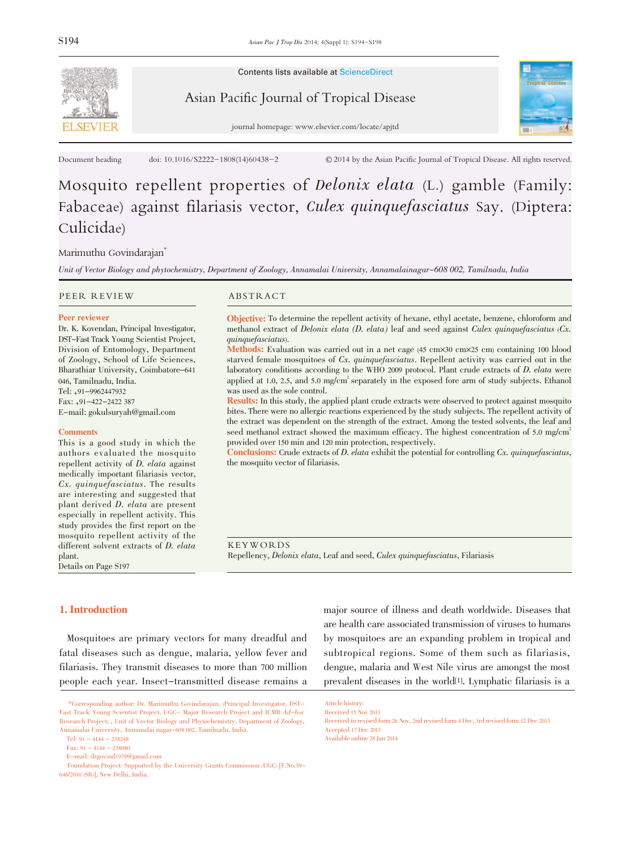

Contents lists available at ScienceDirect

## Asian Pacific Journal of Tropical Disease



journal homepage: www.elsevier.com/locate/apjtd

Document heading doi:  $10.1016$ /S2222-1808(14)60438-2 © 2014 by the Asian Pacific Journal of Tropical Disease. All rights reserved.

# Mosquito repellent properties of Delonix elata (L.) gamble (Family: Fabaceae) against filariasis vector, Culex quinquefasciatus Say. (Diptera: Culicidae)

## Marimuthu Govindarajan<sup>\*</sup>

Unit of Vector Biology and phytochemistry, Department of Zoology, Annamalai University, Annamalainagar-608 002, Tamilnadu, India

PEER REVIEW ABSTRACT

### Peer reviewer

Dr. K. Kovendan, Principal Investigator, DST-Fast Track Young Scientist Project, Division of Entomology, Department of Zoology, School of Life Sciences, Bharathiar University, Coimbatore–<sup>641</sup> 046, Tamilnadu, India. Tel: +91-9962447932 Fax: +91-422-2422 387

E-mail: gokulsuryah@gmail.com

## **Comments**

This is a good study in which the authors evaluated the mosquito repellent activity of *D. elata* against medically important filariasis vector, Cx. quinquefasciatus. The results are interesting and suggested that plant derived D. elata are present especially in repellent activity. This study provides the first report on the mosquito repellent activity of the different solvent extracts of D. elata plant.

Details on Page S197

Objective: To determine the repellent activity of hexane, ethyl acetate, benzene, chloroform and methanol extract of Delonix elata  $(D.$  elata) leaf and seed against Culex quinquefasciatus  $(Cx)$ . quinquefasciatus).

Methods: Evaluation was carried out in a net cage (45 cm×30 cm×25 cm) containing 100 blood starved female mosquitoes of Cx. quinquefasciatus. Repellent activity was carried out in the laboratory conditions according to the WHO <sup>2009</sup> protocol. Plant crude extracts of D. elata were applied at 1.0, 2.5, and 5.0 mg/cm<sup>2</sup> separately in the exposed fore arm of study subjects. Ethanol was used as the sole control.

Results: In this study, the applied plant crude extracts were observed to protect against mosquito bites. There were no allergic reactions experienced by the study subjects. The repellent activity of the extract was dependent on the strength of the extract. Among the tested solvents, the leaf and seed methanol extract showed the maximum efficacy. The highest concentration of 5.0 mg/cm<sup>2</sup> provided over 150 min and 120 min protection, respectively.

**Conclusions:** Crude extracts of D. elata exhibit the potential for controlling  $Cx$ , quinquefasciatus, the mosquito vector of filariasis.

KEYWORDS Repellency, Delonix elata, Leaf and seed, Culex quinquefasciatus, Filariasis

## 1. Introduction

Mosquitoes are primary vectors for many dreadful and fatal diseases such as dengue, malaria, yellow fever and filariasis. They transmit diseases to more than 700 million people each year. Insect-transmitted disease remains a

Tel:  $91 - 4144 - 238248$ 

major source of illness and death worldwide. Diseases that are health care associated transmission of viruses to humans by mosquitoes are an expanding problem in tropical and subtropical regions. Some of them such as filariasis, dengue, malaria and West Nile virus are amongst the most prevalent diseases in the world[1]. Lymphatic filariasis is a

<sup>\*</sup>Corresponding author: Dr. Marimuthu Govindarajan, (Principal Investigator, DST-Fast Track Young Scientist Project, UGC- Major Research Project and ICMR Ad-hoc Research Project) , Unit of Vector Biology and Phytochemistry, Department of Zoology, Annamalai University, Annamalai nagar-608 002, Tamilnadu, India.

Fax:  $91 - 4144 - 238080$ 

E-mail: drgovind1979@gmail.com

Foundation Project: Supported by the University Grants Commission (UGC) [F.No.39- 646/2010 (SR)], New Delhi, India.

Article history: Received 15 Nov 2013

Received in revised form 26 Nov, 2nd revised form 4 Dec, 3rd revised form 12 Dec 2013 Accepted 17 Dec 2013 Available online 28 Jan 2014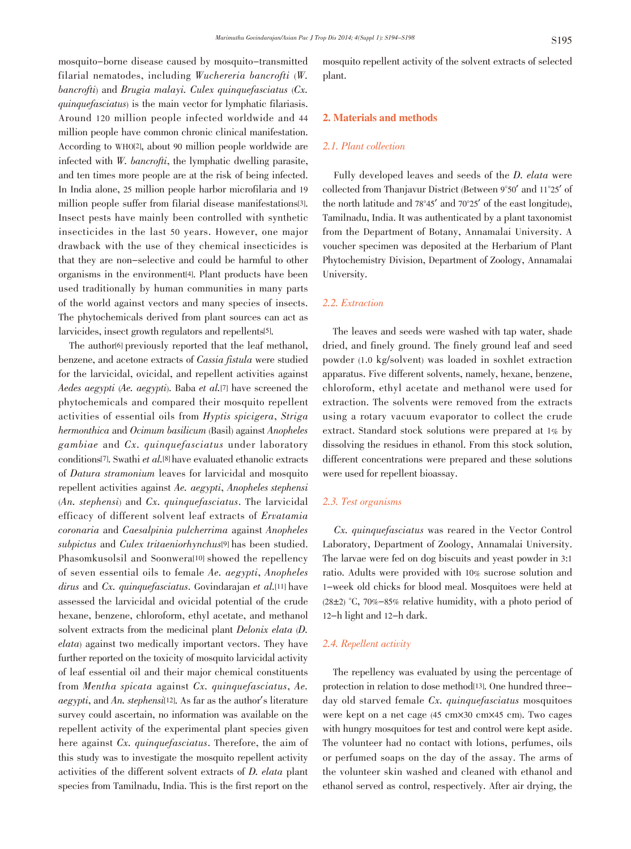mosquito-borne disease caused by mosquito-transmitted filarial nematodes, including Wuchereria bancrofti (W. bancrofti) and Brugia malayi. Culex quinquefasciatus  $(Cx)$ . quinquefasciatus) is the main vector for lymphatic filariasis. Around 120 million people infected worldwide and 44 million people have common chronic clinical manifestation. According to WHO[2], about 90 million people worldwide are infected with  $W$ . *bancrofti*, the lymphatic dwelling parasite, and ten times more people are at the risk of being infected. In India alone, 25 million people harbor microfilaria and 19 million people suffer from filarial disease manifestations[3]. Insect pests have mainly been controlled with synthetic insecticides in the last 50 years. However, one major drawback with the use of they chemical insecticides is that they are non-selective and could be harmful to other organisms in the environment[4]. Plant products have been used traditionally by human communities in many parts of the world against vectors and many species of insects. The phytochemicals derived from plant sources can act as larvicides, insect growth regulators and repellents[5].

The author[6] previously reported that the leaf methanol, benzene, and acetone extracts of Cassia fistula were studied for the larvicidal, ovicidal, and repellent activities against Aedes aegypti (Ae. aegypti). Baba et al.[7] have screened the phytochemicals and compared their mosquito repellent activities of essential oils from Hyptis spicigera, Striga hermonthica and Ocimum basilicum (Basil) against Anopheles gambiae and Cx. quinquefasciatus under laboratory conditions[7]. Swathi et al.[8] have evaluated ethanolic extracts of Datura stramonium leaves for larvicidal and mosquito repellent activities against Ae. aegypti, Anopheles stephensi (An. stephensi) and Cx. quinquefasciatus. The larvicidal efficacy of different solvent leaf extracts of Ervatamia coronaria and Caesalpinia pulcherrima against Anopheles subpictus and Culex tritaeniorhynchus[9] has been studied. Phasomkusolsil and Soonwera[10] showed the repellency of seven essential oils to female Ae. aegypti, Anopheles dirus and Cx. quinque fasciatus. Govindarajan et al.<sup>[11]</sup> have assessed the larvicidal and ovicidal potential of the crude hexane, benzene, chloroform, ethyl acetate, and methanol solvent extracts from the medicinal plant Delonix elata (D. elata) against two medically important vectors. They have further reported on the toxicity of mosquito larvicidal activity of leaf essential oil and their major chemical constituents from Mentha spicata against Cx. quinquefasciatus, Ae. aegypti, and An. stephensi[12]. As far as the author's literature survey could ascertain, no information was available on the repellent activity of the experimental plant species given here against Cx. quinque fasciatus. Therefore, the aim of this study was to investigate the mosquito repellent activity activities of the different solvent extracts of D. elata plant species from Tamilnadu, India. This is the first report on the mosquito repellent activity of the solvent extracts of selected plant.

## 2. Materials and methods

## 2.1. Plant collection

Fully developed leaves and seeds of the D. elata were collected from Thanjavur District (Between <sup>9</sup>°50' and <sup>11</sup>°25' of the north latitude and <sup>78</sup>°45' and <sup>70</sup>°25' of the east longitude), Tamilnadu, India. It was authenticated by a plant taxonomist from the Department of Botany, Annamalai University. A voucher specimen was deposited at the Herbarium of Plant Phytochemistry Division, Department of Zoology, Annamalai University.

## 2.2. Extraction

The leaves and seeds were washed with tap water, shade dried, and finely ground. The finely ground leaf and seed powder (1.0 kg/solvent) was loaded in soxhlet extraction apparatus. Five different solvents, namely, hexane, benzene, chloroform, ethyl acetate and methanol were used for extraction. The solvents were removed from the extracts using a rotary vacuum evaporator to collect the crude extract. Standard stock solutions were prepared at 1% by dissolving the residues in ethanol. From this stock solution, different concentrations were prepared and these solutions were used for repellent bioassay.

## 2.3. Test organisms

Cx. quinquefasciatus was reared in the Vector Control Laboratory, Department of Zoology, Annamalai University. The larvae were fed on dog biscuits and yeast powder in 3:1 ratio. Adults were provided with 10% sucrose solution and 1-week old chicks for blood meal. Mosquitoes were held at (28 $\pm$ 2) °C, 70%-85% relative humidity, with a photo period of 12-h light and 12-h dark.

## 2.4. Repellent activity

The repellency was evaluated by using the percentage of protection in relation to dose method[13]. One hundred threeday old starved female Cx. quinquefasciatus mosquitoes were kept on a net cage (45 cm $\times$ 30 cm $\times$ 45 cm). Two cages with hungry mosquitoes for test and control were kept aside. The volunteer had no contact with lotions, perfumes, oils or perfumed soaps on the day of the assay. The arms of the volunteer skin washed and cleaned with ethanol and ethanol served as control, respectively. After air drying, the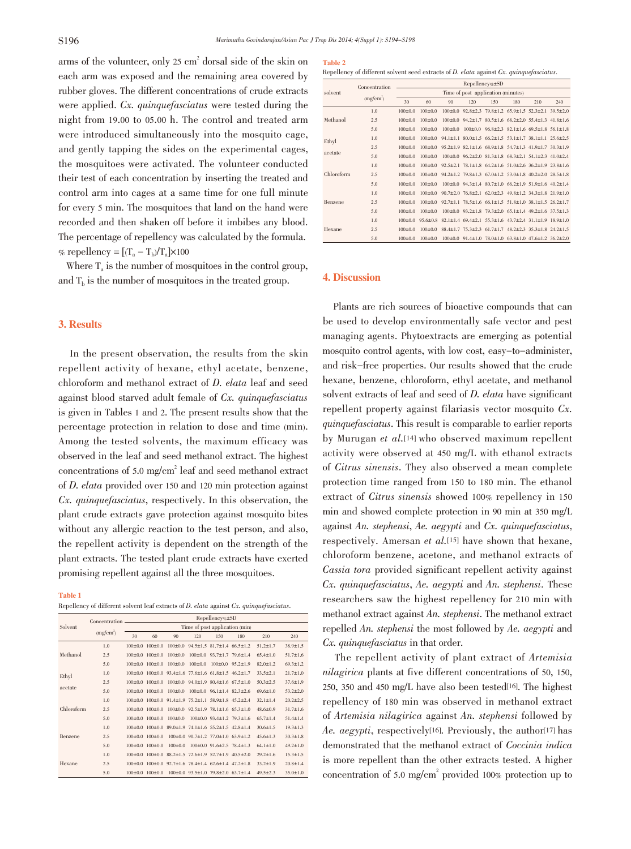arms of the volunteer, only  $25 \text{ cm}^2$  dorsal side of the skin on each arm was exposed and the remaining area covered by rubber gloves. The different concentrations of crude extracts were applied. Cx. quinquefasciatus were tested during the night from 19.00 to 05.00 h. The control and treated arm were introduced simultaneously into the mosquito cage, and gently tapping the sides on the experimental cages, the mosquitoes were activated. The volunteer conducted their test of each concentration by inserting the treated and control arm into cages at a same time for one full minute for every 5 min. The mosquitoes that land on the hand were recorded and then shaken off before it imbibes any blood. The percentage of repellency was calculated by the formula. % repellency =  $[(T_a - T_b)/T_a] \times 100$ 

Where  $T_a$  is the number of mosquitoes in the control group, and  $T<sub>b</sub>$  is the number of mosquitoes in the treated group.

## 3. Results

In the present observation, the results from the skin repellent activity of hexane, ethyl acetate, benzene, chloroform and methanol extract of D. elata leaf and seed against blood starved adult female of Cx. quinquefasciatus is given in Tables 1 and 2. The present results show that the percentage protection in relation to dose and time (min). Among the tested solvents, the maximum efficacy was observed in the leaf and seed methanol extract. The highest concentrations of 5.0 mg/cm2 leaf and seed methanol extract of D. elata provided over <sup>150</sup> and <sup>120</sup> min protection against Cx. quinquefasciatus, respectively. In this observation, the plant crude extracts gave protection against mosquito bites without any allergic reaction to the test person, and also, the repellent activity is dependent on the strength of the plant extracts. The tested plant crude extracts have exerted promising repellent against all the three mosquitoes.

#### Table 1

Repellency of different solvent leaf extracts of  $D$ . *elata* against  $Cx$ . *quinquefasciatus*.

| Solvent          | Concentration -<br>(mg/cm <sup>2</sup> ) | Repellency%±SD                 |                             |               |                                                                             |                                              |              |                |                |
|------------------|------------------------------------------|--------------------------------|-----------------------------|---------------|-----------------------------------------------------------------------------|----------------------------------------------|--------------|----------------|----------------|
|                  |                                          | Time of post application (min) |                             |               |                                                                             |                                              |              |                |                |
|                  |                                          | 30                             | 60                          | 90            | 120                                                                         | 150                                          | 180          | 210            | 240            |
| Methanol         | 1.0                                      |                                | $100+0.0$ $100+0.0$         | $100+0.0$     |                                                                             | $94.5 \pm 1.5$ 81.7 $\pm$ 1.4 66.5 $\pm$ 1.2 |              | $51.2 + 1.7$   | $38.9 \pm 1.5$ |
|                  | 2.5                                      | $100+0.0$                      | $100+0.0$                   | $100 \pm 0.0$ | $100 \pm 0.0$                                                               | $93.7 \pm 1.7$ 79.6 $\pm 1.4$                |              | $65.4 + 1.0$   | $51.7 + 1.6$   |
|                  | 5.0                                      | $100+0.0$                      | $100+0.0$                   | $100 \pm 0.0$ | $100 \pm 0.0$                                                               | $100 \pm 0.0$                                | $95.2 + 1.9$ | $82.0 \pm 1.2$ | $69.3 \pm 1.2$ |
| Ethyl<br>acetate | 1.0                                      |                                |                             |               | $100\pm0.0$ $100\pm0.0$ $93.4\pm1.6$ $77.6\pm1.6$ $61.8\pm1.5$ $46.2\pm1.7$ |                                              |              | $33.5 + 2.1$   | $21.7 + 1.0$   |
|                  | 2.5                                      |                                | $100+0.0$ $100+0.0$         |               | $100\pm0.0$ 94.0 $\pm1.9$ 80.4 $\pm1.6$ 67.5 $\pm1.0$                       |                                              |              | $50.3 \pm 2.5$ | $37.6 \pm 1.9$ |
|                  | 5.0                                      |                                | $100 \pm 0.0$ $100 \pm 0.0$ | $100 \pm 0.0$ |                                                                             | $100 \pm 0.0$ 96.1 $\pm$ 1.4 82.3 $\pm$ 2.6  |              | $69.6 \pm 1.0$ | $53.2 \pm 2.0$ |
| Chloroform       | 1.0                                      |                                |                             |               | 100±0.0 100±0.0 91.4±1.9 75.2±1.1 58.9±1.8 45.2±2.4                         |                                              |              | $32.1 \pm 1.4$ | $20.2 \pm 2.5$ |
|                  | 2.5                                      |                                | $100+0.0$ $100+0.0$         |               | $100+0.0$ $92.5+1.9$ $78.1+1.6$ $65.3+1.0$                                  |                                              |              | $48.6 + 0.9$   | $31.7 \pm 1.6$ |
|                  | 5.0                                      |                                | $100 \pm 0.0$ $100 \pm 0.0$ | $100 \pm 0.0$ |                                                                             | $100 \pm 0.0$ 93.4 $\pm$ 1.2 79.3 $\pm$ 1.6  |              | $65.7 \pm 1.4$ | $51.4 \pm 1.4$ |
| Benzene          | 1.0                                      |                                |                             |               | $100+0.0$ $100+0.0$ $89.0+1.9$ $74.1+1.6$ $55.2+1.5$ $42.8+1.4$             |                                              |              | $30.6 + 1.5$   | $19.3 + 1.3$   |
|                  | 2.5                                      |                                | $100 \pm 0.0$ $100 \pm 0.0$ |               | $100\pm0.0$ $90.7\pm1.2$ $77.0\pm1.0$ $63.9\pm1.2$                          |                                              |              | $45.6 \pm 1.3$ | $30.3 \pm 1.8$ |
|                  | 5.0                                      | $100 \pm 0.0$                  | $100 \pm 0.0$               | $100 \pm 0.0$ |                                                                             | $100 \pm 0.0$ 91.6 $\pm 2.5$ 78.4 $\pm 1.3$  |              | $64.1 \pm 1.0$ | $49.2 \pm 1.0$ |
| Hexane           | 1.0                                      | $100+0.0$                      | $100 \pm 0.0$               |               | 88.2±1.5 72.6±1.9 52.7±1.9 40.5±2.0                                         |                                              |              | $29.2 \pm 1.6$ | $15.3 \pm 1.5$ |
|                  | 2.5                                      | $100+0.0$                      | $100 \pm 0.0$               |               | $92.7 \pm 1.6$ 78.4 $\pm 1.4$ 62.6 $\pm 1.4$ 47.2 $\pm 1.8$                 |                                              |              | $33.2 \pm 1.9$ | $20.8 \pm 1.4$ |
|                  | 5.0                                      |                                | $100+0.0$ $100+0.0$         |               | $100+0.0$ 93.5 + 1.0 79.8 + 2.0 63.7 + 1.4                                  |                                              |              | $49.5 + 2.3$   | $35.0 + 1.0$   |

#### Table 2

Repellency of different solvent seed extracts of D. elata against Cx. quinquefasciatus.

| Repellency%±SD<br>Concentration                                                                                                               |     |  |  |  |  |  |  |  |  |
|-----------------------------------------------------------------------------------------------------------------------------------------------|-----|--|--|--|--|--|--|--|--|
|                                                                                                                                               |     |  |  |  |  |  |  |  |  |
| Time of post application (minutes)<br>solvent                                                                                                 |     |  |  |  |  |  |  |  |  |
| (mg/cm <sup>2</sup> )<br>30<br>60<br>90<br>120<br>150<br>180<br>210                                                                           | 240 |  |  |  |  |  |  |  |  |
| 1.0<br>$100 \pm 0.0$<br>$100 \pm 0.0$<br>$100\pm0.0$ $92.8\pm2.3$ $79.8\pm1.2$ $65.9\pm1.5$ $52.3\pm2.1$ $39.5\pm2.0$                         |     |  |  |  |  |  |  |  |  |
| Methanol<br>2.5<br>$100 \pm 0.0$<br>$100 \pm 0.0$<br>$100\pm0.0$ 94.2 $\pm1.7$ 80.5 $\pm1.6$ 68.2 $\pm2.0$ 55.4 $\pm1.3$ 41.8 $\pm1.6$        |     |  |  |  |  |  |  |  |  |
| 5.0<br>$100+0.0$<br>$100\pm0.0$ $100\pm0.0$ $96.8\pm2.3$ $82.1\pm1.6$ $69.5\pm1.8$ $56.1\pm1.8$<br>$100+0.0$                                  |     |  |  |  |  |  |  |  |  |
| 1.0<br>$100 \pm 0.0$<br>$100 \pm 0.0$<br>$94.1 \pm 1.1$ $80.0 \pm 1.5$ $66.2 \pm 1.5$ $53.1 \pm 1.7$ $38.1 \pm 1.1$ $25.6 \pm 2.5$<br>Ethyl   |     |  |  |  |  |  |  |  |  |
| 2.5<br>$100+0.0$<br>$100+0.0$<br>$95.2+1.9$ $82.1+1.6$ $68.9+1.8$ $54.7+1.3$ $41.9+1.7$ $30.3+1.9$                                            |     |  |  |  |  |  |  |  |  |
| acetate<br>5.0<br>$100\pm0.0$ $96.2\pm2.0$ $81.3\pm1.8$ $68.3\pm2.1$ $54.1\pm2.3$ $41.0\pm2.4$<br>$100 \pm 0.0$<br>$100 \pm 0.0$              |     |  |  |  |  |  |  |  |  |
| 1.0<br>$100+0.0$<br>$92.5+2.1$ 78.1 + 1.8 64.2 + 1.6 51.0 + 2.6 36.2 + 1.9 23.8 + 1.6<br>$100+0.0$                                            |     |  |  |  |  |  |  |  |  |
| Chloroform<br>2.5<br>94.2±1.2 79.8±1.3 67.0±1.2 53.0±1.8 40.2±2.0 28.5±1.8<br>$100+0.0$<br>$100+0.0$                                          |     |  |  |  |  |  |  |  |  |
| 5.0<br>$100 \pm 0.0$<br>$100\pm0.0$ 94.3 $\pm1.4$ 80.7 $\pm1.0$ 66.2 $\pm1.9$ 51.9 $\pm1.6$ 40.2 $\pm1.4$<br>$100 \pm 0.0$                    |     |  |  |  |  |  |  |  |  |
| 1.0<br>$100+0.0$<br>90.7±2.0 76.8±2.1 62.0±2.3 49.8±1.2 34.3±1.8 21.9±1.0<br>$100+0.0$                                                        |     |  |  |  |  |  |  |  |  |
| Benzene<br>2.5<br>$92.7 \pm 1.1$ $78.5 \pm 1.6$ $66.1 \pm 1.5$ $51.8 \pm 1.0$ $38.1 \pm 1.5$ $26.2 \pm 1.7$<br>$100 \pm 0.0$<br>$100 \pm 0.0$ |     |  |  |  |  |  |  |  |  |
| 5.0<br>$100+0.0$<br>$100\pm0.0$ $93.2\pm1.8$ $79.3\pm2.0$ $65.1\pm1.4$ $49.2\pm1.6$ $37.5\pm1.3$<br>$100+0.0$                                 |     |  |  |  |  |  |  |  |  |
| 1.0<br>95.6±0.8 82.1±1.4 69.4±2.1 55.3±1.6 43.7±2.4 31.1±1.9 18.9±1.0<br>$100+0.0$                                                            |     |  |  |  |  |  |  |  |  |
| Hexane<br>88.4+1.7 75.3+2.3 61.7+1.7 48.2+2.3 35.3+1.8 24.2+1.5<br>2.5<br>$100+0.0$<br>$100+0.0$                                              |     |  |  |  |  |  |  |  |  |
| $100+0.0$<br>$100+0.0$<br>$100\pm0.0$ 91.4 $\pm1.0$ 78.0 $\pm1.0$ 63.8 $\pm1.0$ 47.6 $\pm1.2$ 36.2 $\pm2.0$<br>5.0                            |     |  |  |  |  |  |  |  |  |

## 4. Discussion

Plants are rich sources of bioactive compounds that can be used to develop environmentally safe vector and pest managing agents. Phytoextracts are emerging as potential mosquito control agents, with low cost, easy-to-administer, and risk-free properties. Our results showed that the crude hexane, benzene, chloroform, ethyl acetate, and methanol solvent extracts of leaf and seed of D. elata have significant repellent property against filariasis vector mosquito Cx. quinquefasciatus. This result is comparable to earlier reports by Murugan et al.[14] who observed maximum repellent activity were observed at 450 mg/L with ethanol extracts of Citrus sinensis. They also observed a mean complete protection time ranged from 150 to 180 min. The ethanol extract of Citrus sinensis showed 100% repellency in <sup>150</sup> min and showed complete protection in 90 min at 350 mg/L against An. stephensi, Ae. aegypti and Cx. quinquefasciatus, respectively. Amersan et al.[15] have shown that hexane, chloroform benzene, acetone, and methanol extracts of Cassia tora provided significant repellent activity against Cx. quinquefasciatus, Ae. aegypti and An. stephensi. These researchers saw the highest repellency for 210 min with methanol extract against An. stephensi. The methanol extract repelled An. stephensi the most followed by Ae. aegypti and Cx. quinquefasciatus in that order.

The repellent activity of plant extract of Artemisia nilagirica plants at five different concentrations of 50, 150, 250, 350 and 450 mg/L have also been tested[16]. The highest repellency of 180 min was observed in methanol extract of Artemisia nilagirica against An. stephensi followed by Ae. aegypti, respectively<sup>[16]</sup>. Previously, the author<sup>[17]</sup> has demonstrated that the methanol extract of Coccinia indica is more repellent than the other extracts tested. A higher concentration of 5.0 mg/cm<sup>2</sup> provided 100% protection up to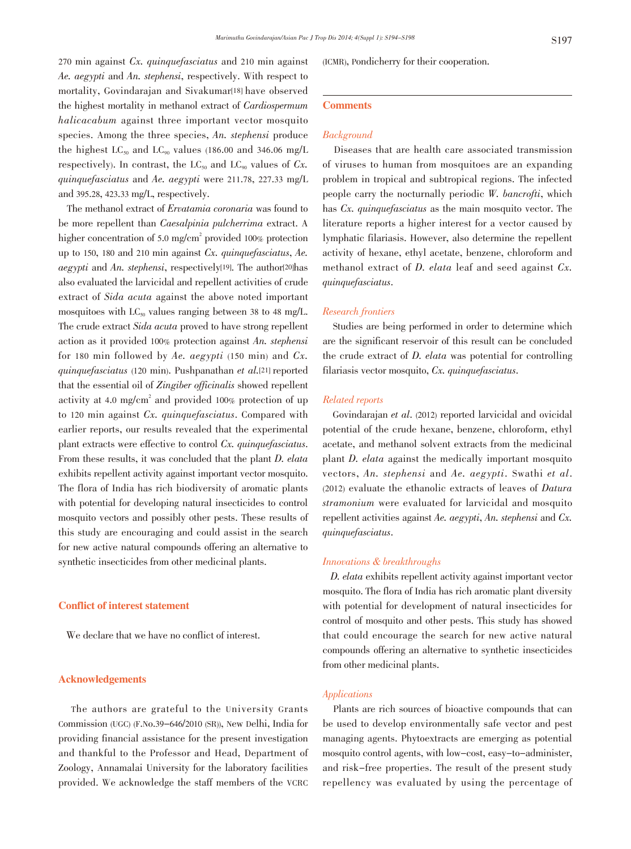<sup>270</sup> min against Cx. quinquefasciatus and <sup>210</sup> min against Ae. aegypti and An. stephensi, respectively. With respect to mortality, Govindarajan and Sivakumar<sup>[18]</sup> have observed the highest mortality in methanol extract of Cardiospermum halicacabum against three important vector mosquito species. Among the three species, An. stephensi produce the highest  $LC_{50}$  and  $LC_{90}$  values (186.00 and 346.06 mg/L respectively). In contrast, the  $LC_{50}$  and  $LC_{90}$  values of  $Cx$ . quinquefasciatus and Ae. aegypti were 211.78, 227.33 mg/L and 395.28, 423.33 mg/L, respectively.

The methanol extract of Ervatamia coronaria was found to be more repellent than Caesalpinia pulcherrima extract. A higher concentration of 5.0 mg/cm<sup>2</sup> provided 100% protection up to 150, <sup>180</sup> and <sup>210</sup> min against Cx. quinquefasciatus, Ae. *aegypti* and An. *stephensi*, respectively<sup>[19]</sup>. The author<sup>[20]</sup>has also evaluated the larvicidal and repellent activities of crude extract of Sida acuta against the above noted important mosquitoes with  $LC_{50}$  values ranging between 38 to 48 mg/L. The crude extract Sida acuta proved to have strong repellent action as it provided 100% protection against An. stephensi for 180 min followed by Ae. aegypti (150 min) and  $Cx$ . quinquefasciatus (120 min). Pushpanathan et al.[21] reported that the essential oil of Zingiber officinalis showed repellent activity at 4.0 mg/cm<sup>2</sup> and provided 100% protection of up to <sup>120</sup> min against Cx. quinquefasciatus. Compared with earlier reports, our results revealed that the experimental plant extracts were effective to control Cx. quinquefasciatus. From these results, it was concluded that the plant D. elata exhibits repellent activity against important vector mosquito. The flora of India has rich biodiversity of aromatic plants with potential for developing natural insecticides to control mosquito vectors and possibly other pests. These results of this study are encouraging and could assist in the search for new active natural compounds offering an alternative to synthetic insecticides from other medicinal plants.

## Conflict of interest statement

We declare that we have no conflict of interest.

## Acknowledgements

The authors are grateful to the University Grants Commission (UGC) (F.No.39-646/2010 (SR)), New Delhi, India for providing financial assistance for the present investigation and thankful to the Professor and Head, Department of Zoology, Annamalai University for the laboratory facilities provided. We acknowledge the staff members of the VCRC (ICMR), Pondicherry for their cooperation.

## **Comments**

## Background

Diseases that are health care associated transmission of viruses to human from mosquitoes are an expanding problem in tropical and subtropical regions. The infected people carry the nocturnally periodic  $W$ . bancrofti, which has Cx. quinque fasciatus as the main mosquito vector. The literature reports a higher interest for a vector caused by lymphatic filariasis. However, also determine the repellent activity of hexane, ethyl acetate, benzene, chloroform and methanol extract of D. elata leaf and seed against Cx. quinquefasciatus.

## Research frontiers

Studies are being performed in order to determine which are the significant reservoir of this result can be concluded the crude extract of D. elata was potential for controlling filariasis vector mosquito, Cx. quinquefasciatus.

## Related reports

Govindarajan et al. (2012) reported larvicidal and ovicidal potential of the crude hexane, benzene, chloroform, ethyl acetate, and methanol solvent extracts from the medicinal plant D. elata against the medically important mosquito vectors, An. stephensi and Ae. aegypti. Swathi et al. (2012) evaluate the ethanolic extracts of leaves of Datura stramonium were evaluated for larvicidal and mosquito repellent activities against Ae. aegypti, An. stephensi and Cx. quinquefasciatus.

## Innovations & breakthroughs

D. elata exhibits repellent activity against important vector mosquito. The flora of India has rich aromatic plant diversity with potential for development of natural insecticides for control of mosquito and other pests. This study has showed that could encourage the search for new active natural compounds offering an alternative to synthetic insecticides from other medicinal plants.

## Applications

Plants are rich sources of bioactive compounds that can be used to develop environmentally safe vector and pest managing agents. Phytoextracts are emerging as potential mosquito control agents, with low-cost, easy-to-administer, and risk-free properties. The result of the present study repellency was evaluated by using the percentage of